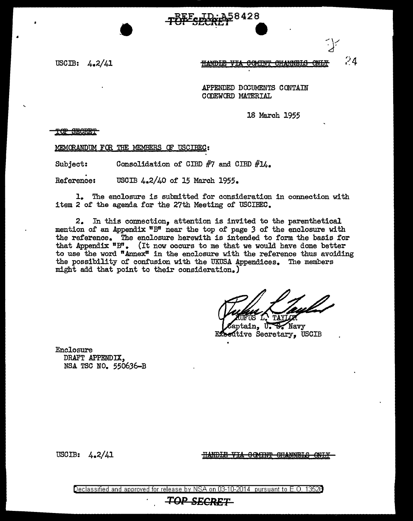

USCIB: 4.2/41

 $74$ <del>HAMMRT.</del>A

APPENDED DOOUMENTS CONTAIN CODEWORD MATERIAL

18 March 1955

TOP SECRET

MEMORANDUM FOR THE MEMBERS OF USCIBEC:

Subject: Consolidation of CIBD  $#7$  and CIBD  $#14$ .

. Reference: USCIB 4.2/40 of 15 March 1955.

1. The enclosure is submitted for consideration in connection with item 2 of the agenda for the 27th Meeting of USCIBEC.

2. In this connection, attention is invited to the parenthetical mention of an Appendix "B" near the top of page *3* of the enclosure with the reference. The enclosure herewith is intended to form. the basis for that Appendix  $"B"$ . (It now occurs to me that we would have done better to use the word "Annex" in the enclosure with the reference thus avoiding the possibility of confusion with the UKUSA Appendices. The members might add that point to their consideration.)

ain, U.S. Navy ative Secretary, USCIB

Enclosure DRAFT APPENDIX, NSA TSC NO. 550636-B

USCIB: 4.2/41

HANDLE VIA COMINT CHANNELS ONLY

Declassified and approved for release by NSA on 03-10-2014 pursuant to E. 0. 1352B *TOP SECRET*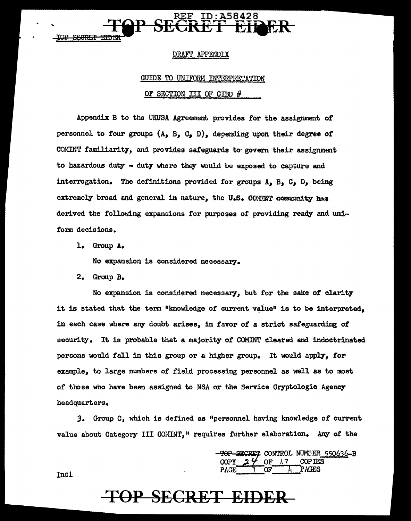<del>STICRIM</del>

#### DRAFT APPENDIX

### **GUIDE TO UNIFORM INTERPRETATION** OF SECTION III OF CIBD #

Appendix B to the UKUSA Agreement provides for the assignment of personnel to four groups  $(A, B, C, D)$ , depending upon their degree of COMINT familiarity, and provides safeguards to govern their assignment to hazardous duty - duty where they would be exposed to capture and interrogation. The definitions provided for groups  $A_9$ ,  $B_9$ ,  $C_9$ ,  $D_9$ , being extremely broad and general in nature, the U.S. COMMY community has derived the following expansions for purposes of providing ready and uniform decisions.

1. Group A.

No expansion is considered necessary.

2. Group B.

No expansion is considered necessary, but for the sake of clarity it is stated that the term "knowledge of current value" is to be interpreted. in each case where any doubt arises, in favor of a strict safeguarding of security. It is probable that a majority of COMINT cleared and indoctrinated persons would fall in this group or a higher group. It would apply, for example, to large numbers of field processing personnel as well as to most of those who have been assigned to NSA or the Service Cryptologic Agency headquarters.

3. Group C, which is defined as "personnel having knowledge of current value about Category III COMINT," requires further elaboration. Any of the

> ECRET CONTROL NUMBER 550636-B PAGES

#### Incl.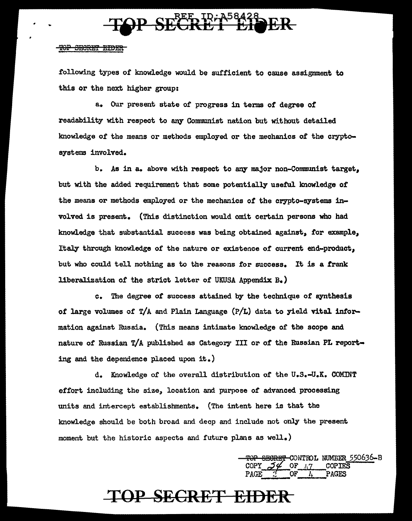

### TOP SECRET EIDER

following types of lmowledge would be sufficient to cause assignment to this or the next. higher group:

a. Our present state of progress in terms of degree of readability with respect to any Communist nation but without detailed knowledge of the means or methods employed or the mechanics of the cryptosystems involved.

b. As in a. above with respect to any major non-Communist target, but with the added requirement that some potentially useful knowledge or the means or methods employed or the mechanics of the crypto-systems involved is present. (This distinction would omit certain persons who had knowledge that substantial success was being obtained against, for example, Italy through knowledge of the nature or existence of current end-product. but who could tell nothing as to the reasons for success. It is a frank liberalization of the strict letter of UKUSA Appendix B.)

c. The degree of success attained by the technique of synthesis of large volumes of  $T/A$  and Plain Language  $(P/L)$  data to yield vital information against Russia. (This means intimate knowledge of the scope and nature of Russian T/A published as Category III or of the Russian PL reporting and the dependence placed upon it.)

d. Knowledge *ot* the overall distribution *ot* the u.s.-u.K. COMINT effort including the size, location and purpose of advanced processing units and intercept establishments. (The intent here is that the knowledge should be both broad and deep and include not only the present moment but the historic aspects and future plans as well.)

> TOP SEGRET CONTROL NUMBER 550636-B<br>COPY *J* & OF 1,7 COPIES PAGE 2 OF *h* PAGFS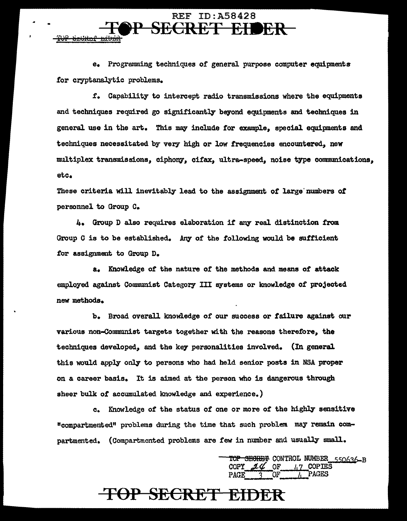e. Programming techniques of general purpose computer equipments for cryptanalytic problems.

<del>JP Srtitur ribrit</del>

**REF ID:A58428** 

SECRET EIDER

*t.* Capability to intercept radio transmissions where the equipments and techniques required go significantly beyond equipments and techniques in general use in the art. This may include for example, special equipments and techniques necessitated by very high or low frequencies encountered, new multiplex transmissions, ciphony, cifax, ultra-speed, noise type communications, etc.

These criteria will inevitably lead to the assignment of large' numbers of personnel to Group c.

4. Group D also requires elaboration it any real distinction from Group C is to be established. *Any* of the following would be sufficient for assignment to Group D.

a. Knowledge of the nature or the methods and means of' attack employed against Communist Category III systems or knowledge of projected new methods.

b. Broad overall knowledge of our success or failure against our various non-Communist targets together with the reasons therefore, the techniques developed, and the ke7 personalities involved. {In general this would apply only to persons who had held senior posts in NSA proper on a career basis. It is aimed at the person who is dangerous through sheer bulk of accumulated knowledge and experience.)

c. Knowledge of the status of one or more of the highly sensitive "compartmented" problems during the time that such problem. may remain compartmented. (Compartmented problems are few in number and usually small.

> SEGRET CONTROL NUMBER 550636-B  $2\%$  OF  $/17$  COPIES  $PAGE \quad 3$  OF  $\frac{l_1}{l_1}$  PAGES